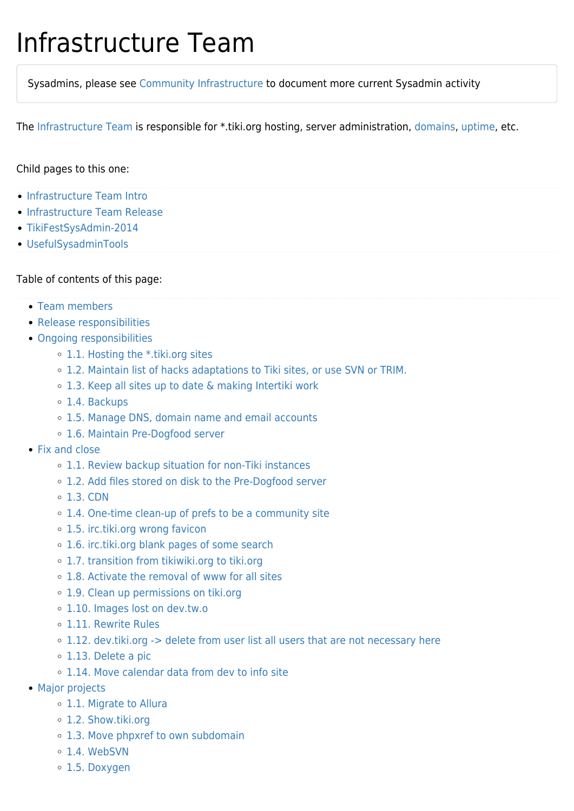## Infrastructure Team

Sysadmins, please see [Community Infrastructure](https://tiki.org/Community-Infrastructure) to document more current Sysadmin activity

The [Infrastructure Team](https://tiki.org/Infrastructure-Team) is responsible for \*.tiki.org hosting, server administration, [domains](https://tiki.org/Domains), [uptime,](https://tiki.org/Uptime) etc.

#### Child pages to this one:

- [Infrastructure Team Intro](https://tiki.org/Infrastructure-Team-Intro?page_ref_id=645)
- [Infrastructure Team Release](https://tiki.org/Infrastructure-Team-Release?page_ref_id=646)
- [TikiFestSysAdmin-2014](https://tiki.org/TikiFestSysAdmin-2014?structure=Teams&page_ref_id=705)
- [UsefulSysadminTools](https://tiki.org/UsefulSysadminTools?page_ref_id=706)

#### Table of contents of this page:

- [Team members](#page--1-0)
- [Release responsibilities](#page--1-0)
- [Ongoing responsibilities](#page--1-0)
	- [1.1. Hosting the \\*.tiki.org sites](#Hosting_the_.tiki.org_sites)
	- [1.2. Maintain list of hacks adaptations to Tiki sites, or use SVN or TRIM.](#Maintain_list_of_hacks_adaptations_to_Tiki_sites_or_use_SVN_or_TRIM.)
	- [1.3. Keep all sites up to date & making Intertiki work](#page--1-0)
	- [1.4. Backups](#page--1-0)
	- [1.5. Manage DNS, domain name and email accounts](#page--1-0)
	- [1.6. Maintain Pre-Dogfood server](#page--1-0)
- [Fix and close](#page--1-0)
	- [1.1. Review backup situation for non-Tiki instances](#page--1-0)
	- [1.2. Add files stored on disk to the Pre-Dogfood server](#page--1-0)
	- $\circ$  [1.3. CDN](#page--1-0)
	- [1.4. One-time clean-up of prefs to be a community site](#page--1-0)
	- [1.5. irc.tiki.org wrong favicon](#irc.tiki.org_wrong_favicon)
	- [1.6. irc.tiki.org blank pages of some search](#irc.tiki.org_blank_pages_of_some_search)
	- o [1.7. transition from tikiwiki.org to tiki.org](#transition_from_tikiwiki.org_to_tiki.org)
	- [1.8. Activate the removal of www for all sites](#page--1-0)
	- [1.9. Clean up permissions on tiki.org](#Clean_up_permissions_on_tiki.org)
	- [1.10. Images lost on dev.tw.o](#Images_lost_on_dev.tw.o)
	- [1.11. Rewrite Rules](#page--1-0)
	- [1.12. dev.tiki.org -> delete from user list all users that are not necessary here](#dev.tiki.org_-_REAL_GT_delete_from_user_list_all_users_that_are_not_necessary_here)
	- [1.13. Delete a pic](#page--1-0)
	- [1.14. Move calendar data from dev to info site](#page--1-0)
- [Major projects](#page--1-0)
	- [1.1. Migrate to Allura](#page--1-0)
	- [1.2. Show.tiki.org](#Show.tiki.org)
	- [1.3. Move phpxref to own subdomain](#page--1-0)
	- o [1.4. WebSVN](#page--1-0)
	- [1.5. Doxygen](#page--1-0)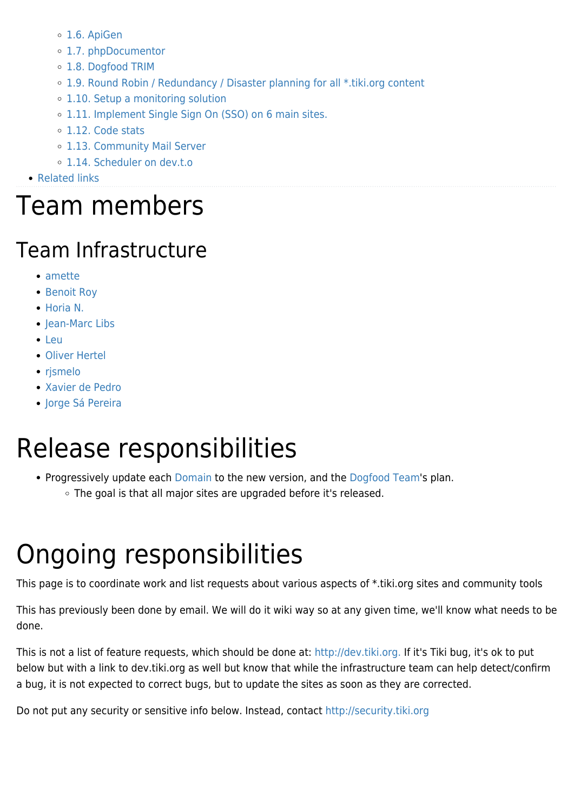- [1.6. ApiGen](#page--1-0)
- [1.7. phpDocumentor](#page--1-0)
- [1.8. Dogfood TRIM](#page--1-0)
- [1.9. Round Robin / Redundancy / Disaster planning for all \\*.tiki.org content](#Round_Robin_Redundancy_Disaster_planning_for_all_.tiki.org_content)
- [1.10. Setup a monitoring solution](#page--1-0)
- [1.11. Implement Single Sign On \(SSO\) on 6 main sites.](#Implement_Single_Sign_On_SSO_on_6_main_sites.)
- [1.12. Code stats](#page--1-0)
- [1.13. Community Mail Server](#page--1-0)
- [1.14. Scheduler on dev.t.o](#Scheduler_on_dev.t.o)
- [Related links](#page--1-0)

## Team members

#### Team Infrastructure

- [amette](https://tiki.org/user8656)
- [Benoit Roy](https://tiki.org/user34045)
- [Horia N.](https://tiki.org/user25564)
- [Jean-Marc Libs](https://tiki.org/user12666)
- [Leu](https://tiki.org/user16130)
- [Oliver Hertel](https://tiki.org/user3)
- [rjsmelo](https://tiki.org/user32689)
- [Xavier de Pedro](https://tiki.org/user10196)
- [Jorge Sá Pereira](https://tiki.org/user36223)

# Release responsibilities

- Progressively update each [Domain](https://tiki.org/Domains) to the new version, and the [Dogfood Team](https://tiki.org/Dogfood-Team)'s plan.
	- The goal is that all major sites are upgraded before it's released.

# Ongoing responsibilities

This page is to coordinate work and list requests about various aspects of \*.tiki.org sites and community tools

This has previously been done by email. We will do it wiki way so at any given time, we'll know what needs to be done.

This is not a list of feature requests, which should be done at: <http://dev.tiki.org.> If it's Tiki bug, it's ok to put below but with a link to dev.tiki.org as well but know that while the infrastructure team can help detect/confirm a bug, it is not expected to correct bugs, but to update the sites as soon as they are corrected.

Do not put any security or sensitive info below. Instead, contact <http://security.tiki.org>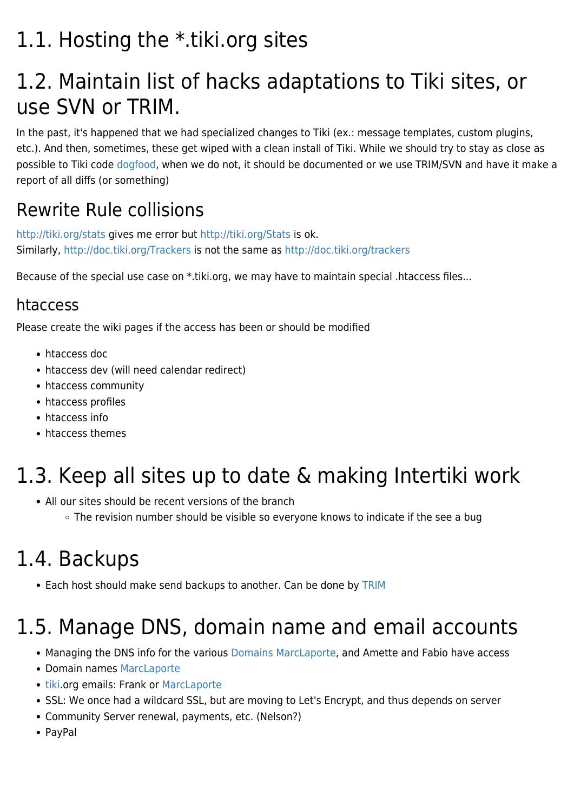#### 1.1. Hosting the \*.tiki.org sites

#### 1.2. Maintain list of hacks adaptations to Tiki sites, or use SVN or TRIM.

In the past, it's happened that we had specialized changes to Tiki (ex.: message templates, custom plugins, etc.). And then, sometimes, these get wiped with a clean install of Tiki. While we should try to stay as close as possible to Tiki code [dogfood,](https://tiki.org/DogFood) when we do not, it should be documented or we use TRIM/SVN and have it make a report of all diffs (or something)

#### Rewrite Rule collisions

<http://tiki.org/stats>gives me error but <http://tiki.org/Stats>is ok. Similarly,<http://doc.tiki.org/Trackers> is not the same as <http://doc.tiki.org/trackers>

Because of the special use case on \*.tiki.org, we may have to maintain special .htaccess files...

#### htaccess

Please create the wiki pages if the access has been or should be modified

- [htaccess doc](https://tiki.org/tiki-editpage.php?page=htaccess+doc)
- [htaccess dev](https://tiki.org/tiki-editpage.php?page=htaccess+dev) (will need calendar redirect)
- [htaccess community](https://tiki.org/tiki-editpage.php?page=htaccess+community)
- [htaccess profiles](https://tiki.org/tiki-editpage.php?page=htaccess+profiles)
- [htaccess info](https://tiki.org/tiki-editpage.php?page=htaccess+info)
- [htaccess themes](https://tiki.org/tiki-editpage.php?page=htaccess+themes)

#### 1.3. Keep all sites up to date & making Intertiki work

- All our sites should be recent versions of the branch
	- The revision number should be visible so everyone knows to indicate if the see a bug

#### 1.4. Backups

• Each host should make send backups to another. Can be done by [TRIM](http://doc.tiki.org/TRIM)

#### 1.5. Manage DNS, domain name and email accounts

- Managing the DNS info for the various [Domains](https://tiki.org/Domains) [MarcLaporte,](https://tiki.org/UserPagemarclaporte) and Amette and Fabio have access
- Domain names [MarcLaporte](https://tiki.org/UserPagemarclaporte)
- [tiki](https://tiki.org/user7402).org emails: Frank or [MarcLaporte](https://tiki.org/UserPagemarclaporte)
- SSL: We once had a wildcard SSL, but are moving to Let's Encrypt, and thus depends on server
- Community Server renewal, payments, etc. (Nelson?)
- PavPal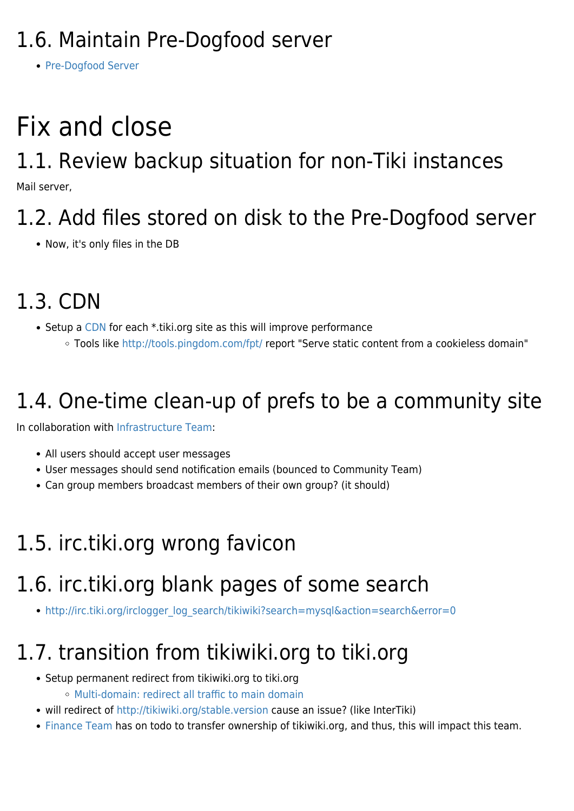#### 1.6. Maintain Pre-Dogfood server

• [Pre-Dogfood Server](https://tiki.org/Pre-Dogfood-Server)

# Fix and close

#### 1.1. Review backup situation for non-Tiki instances

Mail server,

#### 1.2. Add files stored on disk to the Pre-Dogfood server

• Now, it's only files in the DB

### 1.3. CDN

- Setup a [CDN](http://doc.tiki.org/CDN) for each \*.tiki.org site as this will improve performance
	- Tools like <http://tools.pingdom.com/fpt/> report "Serve static content from a cookieless domain"

#### 1.4. One-time clean-up of prefs to be a community site

In collaboration with [Infrastructure Team](https://tiki.org/Infrastructure-Team):

- All users should accept user messages
- User messages should send notification emails (bounced to Community Team)
- Can group members broadcast members of their own group? (it should)

#### 1.5. irc.tiki.org wrong favicon

#### 1.6. irc.tiki.org blank pages of some search

• [http://irc.tiki.org/irclogger\\_log\\_search/tikiwiki?search=mysql&action=search&error=0](http://irc.tiki.org/irclogger_log_search/tikiwiki?search=mysql&action=search&error=0)

#### 1.7. transition from tikiwiki.org to tiki.org

- Setup permanent redirect from tikiwiki.org to tiki.org
	- [Multi-domain: redirect all traffic to main domain](http://dev.tiki.org/wish3164)
- will redirect of<http://tikiwiki.org/stable.version> cause an issue? (like InterTiki)
- [Finance Team](https://tiki.org/Finance-Team) has on todo to transfer ownership of tikiwiki.org, and thus, this will impact this team.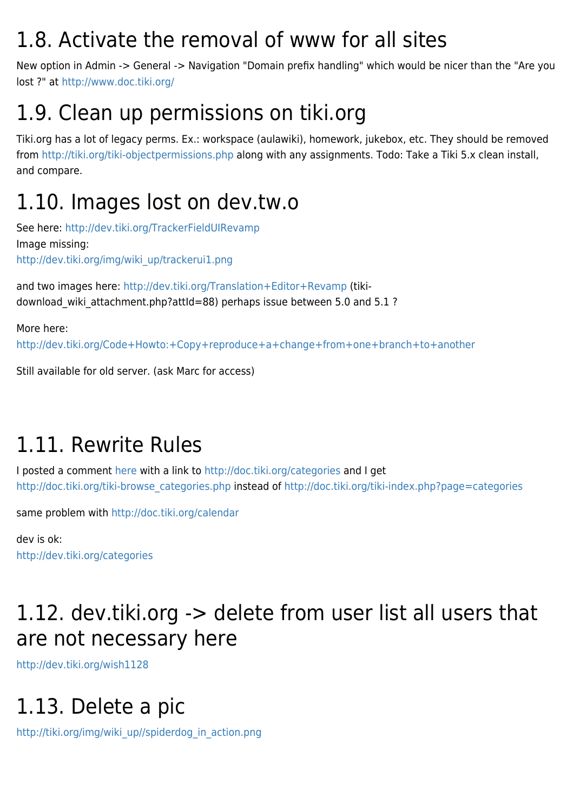#### 1.8. Activate the removal of www for all sites

New option in Admin -> General -> Navigation "Domain prefix handling" which would be nicer than the "Are you lost ?" at<http://www.doc.tiki.org/>

#### 1.9. Clean up permissions on tiki.org

Tiki.org has a lot of legacy perms. Ex.: workspace (aulawiki), homework, jukebox, etc. They should be removed from<http://tiki.org/tiki-objectpermissions.php> along with any assignments. Todo: Take a Tiki 5.x clean install, and compare.

#### 1.10. Images lost on dev.tw.o

See here: <http://dev.tiki.org/TrackerFieldUIRevamp> Image missing: [http://dev.tiki.org/img/wiki\\_up/trackerui1.png](http://dev.tiki.org/img/wiki_up/trackerui1.png)

and two images here:<http://dev.tiki.org/Translation+Editor+Revamp>(tikidownload wiki attachment.php?attId=88) perhaps issue between 5.0 and 5.1 ?

More here: <http://dev.tiki.org/Code+Howto:+Copy+reproduce+a+change+from+one+branch+to+another>

Still available for old server. (ask Marc for access)

#### 1.11. Rewrite Rules

I posted a comment [here](http://www.wiki-translation.com/How+will+massive+online+collaboration+impact+the+world+of+translation) with a link to<http://doc.tiki.org/categories> and I get [http://doc.tiki.org/tiki-browse\\_categories.php](http://doc.tiki.org/tiki-browse_categories.php) instead of<http://doc.tiki.org/tiki-index.php?page=categories>

same problem with <http://doc.tiki.org/calendar>

dev is ok: <http://dev.tiki.org/categories>

#### 1.12. dev.tiki.org -> delete from user list all users that are not necessary here

<http://dev.tiki.org/wish1128>

#### 1.13. Delete a pic

[http://tiki.org/img/wiki\\_up//spiderdog\\_in\\_action.png](http://tiki.org/img/wiki_up//spiderdog_in_action.png)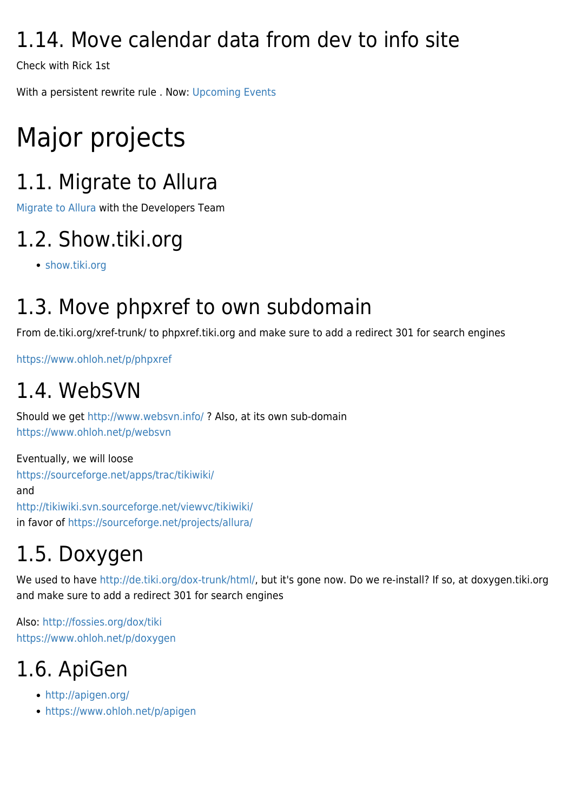#### 1.14. Move calendar data from dev to info site

Check with Rick 1st

With a persistent rewrite rule . Now: [Upcoming Events](http://dev.tiki.org/Upcoming%20Events)

# Major projects

#### 1.1. Migrate to Allura

[Migrate to Allura](https://tiki.org/Migrate-to-Allura) with the Developers Team

#### 1.2. Show.tiki.org

[show.tiki.org](https://tiki.org/show.tiki.org)

#### 1.3. Move phpxref to own subdomain

From de.tiki.org/xref-trunk/ to phpxref.tiki.org and make sure to add a redirect 301 for search engines

<https://www.ohloh.net/p/phpxref>

#### 1.4. WebSVN

Should we get <http://www.websvn.info/> ? Also, at its own sub-domain <https://www.ohloh.net/p/websvn>

Eventually, we will loose <https://sourceforge.net/apps/trac/tikiwiki/> and <http://tikiwiki.svn.sourceforge.net/viewvc/tikiwiki/> in favor of <https://sourceforge.net/projects/allura/>

## 1.5. Doxygen

We used to have [http://de.tiki.org/dox-trunk/html/,](http://de.tiki.org/dox-trunk/html/) but it's gone now. Do we re-install? If so, at doxygen.tiki.org and make sure to add a redirect 301 for search engines

Also:<http://fossies.org/dox/tiki> <https://www.ohloh.net/p/doxygen>

#### 1.6. ApiGen

- <http://apigen.org/>
- <https://www.ohloh.net/p/apigen>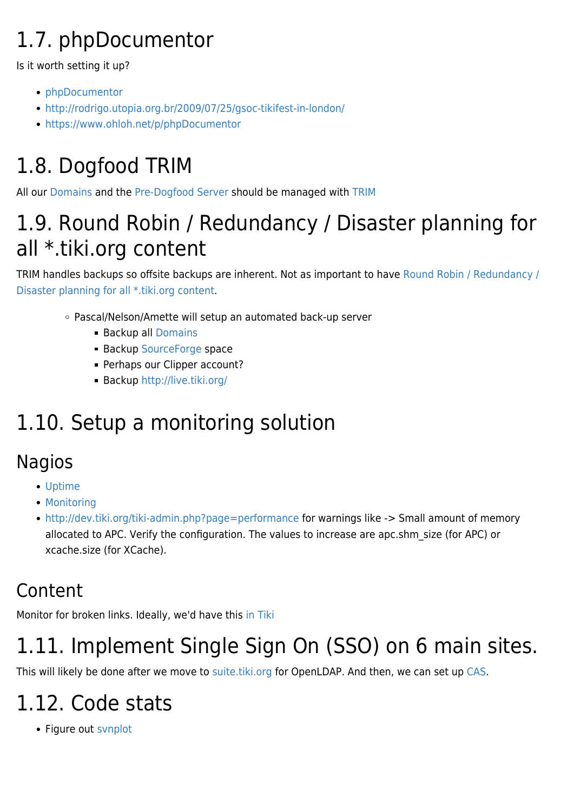## 1.7. phpDocumentor

Is it worth setting it up?

- [phpDocumentor](https://tiki.org/PhpDocumentor)
- <http://rodrigo.utopia.org.br/2009/07/25/gsoc-tikifest-in-london/>
- <https://www.ohloh.net/p/phpDocumentor>

## 1.8. Dogfood TRIM

All our [Domains](https://tiki.org/Domains) and the [Pre-Dogfood Server](https://tiki.org/Pre-Dogfood-Server) should be managed with [TRIM](http://doc.tiki.org/TRIM)

#### 1.9. Round Robin / Redundancy / Disaster planning for all \*.tiki.org content

TRIM handles backups so offsite backups are inherent. Not as important to have [Round Robin / Redundancy /](http://dev.tiki.org/wish1208) [Disaster planning for all \\*.tiki.org content](http://dev.tiki.org/wish1208).

- Pascal/Nelson/Amette will setup an automated back-up server
	- Backup all [Domains](https://tiki.org/Domains)
	- **Backup [SourceForge](https://tiki.org/SourceForge) space**
	- **Perhaps our Clipper account?**
	- Backup <http://live.tiki.org/>

#### 1.10. Setup a monitoring solution

#### Nagios

- [Uptime](https://tiki.org/Uptime)
- [Monitoring](http://dev.tiki.org/Monitoring)
- <http://dev.tiki.org/tiki-admin.php?page=performance> for warnings like -> Small amount of memory allocated to APC. Verify the configuration. The values to increase are apc.shm\_size (for APC) or xcache.size (for XCache).

#### Content

Monitor for broken links. Ideally, we'd have this [in Tiki](http://dev.tiki.org/item526)

#### 1.11. Implement Single Sign On (SSO) on 6 main sites.

This will likely be done after we move to [suite.tiki.org](http://suite.tiki.org) for OpenLDAP. And then, we can set up [CAS](http://doc.tiki.org/CAS).

#### 1.12. Code stats

• Figure out synplot